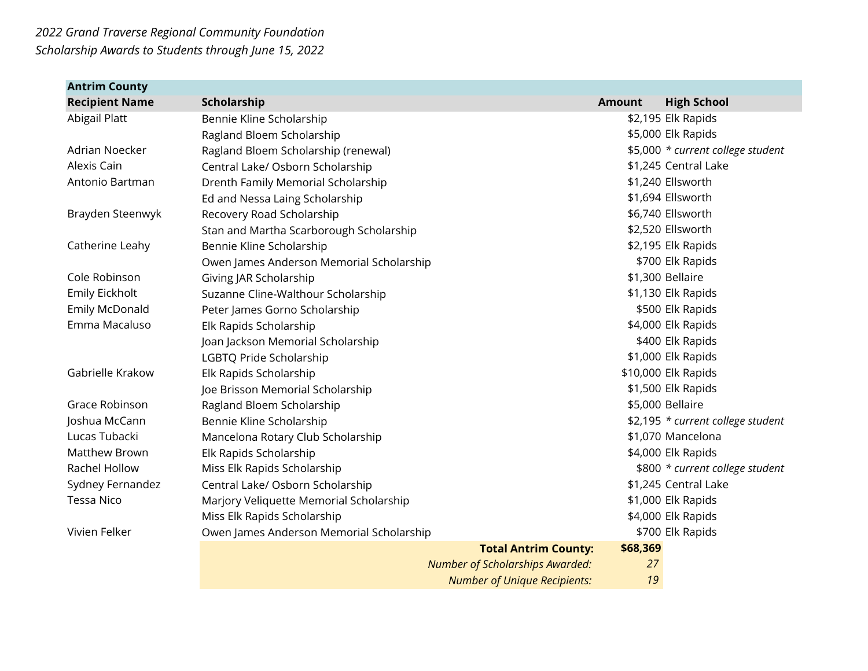| <b>Antrim County</b>  |                                          |                                        |               |                                   |
|-----------------------|------------------------------------------|----------------------------------------|---------------|-----------------------------------|
| <b>Recipient Name</b> | Scholarship                              |                                        | <b>Amount</b> | <b>High School</b>                |
| Abigail Platt         | Bennie Kline Scholarship                 |                                        |               | \$2,195 Elk Rapids                |
|                       | Ragland Bloem Scholarship                |                                        |               | \$5,000 Elk Rapids                |
| Adrian Noecker        | Ragland Bloem Scholarship (renewal)      |                                        |               | \$5,000 * current college student |
| Alexis Cain           | Central Lake/ Osborn Scholarship         |                                        |               | \$1,245 Central Lake              |
| Antonio Bartman       | Drenth Family Memorial Scholarship       |                                        |               | \$1,240 Ellsworth                 |
|                       | Ed and Nessa Laing Scholarship           |                                        |               | \$1,694 Ellsworth                 |
| Brayden Steenwyk      | Recovery Road Scholarship                |                                        |               | \$6,740 Ellsworth                 |
|                       | Stan and Martha Scarborough Scholarship  |                                        |               | \$2,520 Ellsworth                 |
| Catherine Leahy       | Bennie Kline Scholarship                 |                                        |               | \$2,195 Elk Rapids                |
|                       | Owen James Anderson Memorial Scholarship |                                        |               | \$700 Elk Rapids                  |
| Cole Robinson         | Giving JAR Scholarship                   |                                        |               | \$1,300 Bellaire                  |
| Emily Eickholt        | Suzanne Cline-Walthour Scholarship       |                                        |               | \$1,130 Elk Rapids                |
| Emily McDonald        | Peter James Gorno Scholarship            |                                        |               | \$500 Elk Rapids                  |
| Emma Macaluso         | Elk Rapids Scholarship                   |                                        |               | \$4,000 Elk Rapids                |
|                       | Joan Jackson Memorial Scholarship        |                                        |               | \$400 Elk Rapids                  |
|                       | LGBTQ Pride Scholarship                  |                                        |               | \$1,000 Elk Rapids                |
| Gabrielle Krakow      | Elk Rapids Scholarship                   |                                        |               | \$10,000 Elk Rapids               |
|                       | Joe Brisson Memorial Scholarship         |                                        |               | \$1,500 Elk Rapids                |
| Grace Robinson        | Ragland Bloem Scholarship                |                                        |               | \$5,000 Bellaire                  |
| Joshua McCann         | Bennie Kline Scholarship                 |                                        |               | \$2,195 * current college student |
| Lucas Tubacki         | Mancelona Rotary Club Scholarship        |                                        |               | \$1,070 Mancelona                 |
| <b>Matthew Brown</b>  | Elk Rapids Scholarship                   |                                        |               | \$4,000 Elk Rapids                |
| Rachel Hollow         | Miss Elk Rapids Scholarship              |                                        |               | \$800 * current college student   |
| Sydney Fernandez      | Central Lake/ Osborn Scholarship         |                                        |               | \$1,245 Central Lake              |
| <b>Tessa Nico</b>     | Marjory Veliquette Memorial Scholarship  |                                        |               | \$1,000 Elk Rapids                |
|                       | Miss Elk Rapids Scholarship              |                                        |               | \$4,000 Elk Rapids                |
| Vivien Felker         | Owen James Anderson Memorial Scholarship |                                        |               | \$700 Elk Rapids                  |
|                       |                                          | <b>Total Antrim County:</b>            | \$68,369      |                                   |
|                       |                                          | <b>Number of Scholarships Awarded:</b> | 27            |                                   |
|                       |                                          | <b>Number of Unique Recipients:</b>    | 19            |                                   |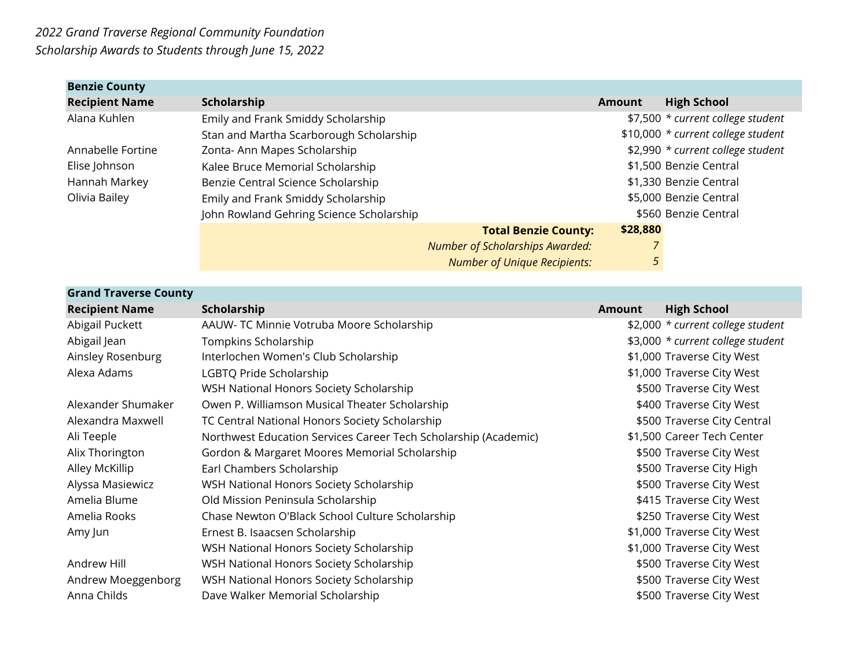| <b>Benzie County</b>  |                                          |                                        |               |                                    |
|-----------------------|------------------------------------------|----------------------------------------|---------------|------------------------------------|
| <b>Recipient Name</b> | Scholarship                              |                                        | <b>Amount</b> | <b>High School</b>                 |
| Alana Kuhlen          | Emily and Frank Smiddy Scholarship       |                                        |               | \$7,500 * current college student  |
|                       | Stan and Martha Scarborough Scholarship  |                                        |               | \$10,000 * current college student |
| Annabelle Fortine     | Zonta- Ann Mapes Scholarship             |                                        |               | \$2,990 * current college student  |
| Elise Johnson         | Kalee Bruce Memorial Scholarship         |                                        |               | \$1,500 Benzie Central             |
| Hannah Markey         | Benzie Central Science Scholarship       |                                        |               | \$1,330 Benzie Central             |
| Olivia Bailey         | Emily and Frank Smiddy Scholarship       |                                        |               | \$5,000 Benzie Central             |
|                       | John Rowland Gehring Science Scholarship |                                        |               | \$560 Benzie Central               |
|                       |                                          | <b>Total Benzie County:</b>            | \$28,880      |                                    |
|                       |                                          | <b>Number of Scholarships Awarded:</b> |               |                                    |
|                       |                                          | <b>Number of Unique Recipients:</b>    | 5             |                                    |

| <b>Grand Traverse County</b> |                                                                 |               |                                   |
|------------------------------|-----------------------------------------------------------------|---------------|-----------------------------------|
| <b>Recipient Name</b>        | Scholarship                                                     | <b>Amount</b> | <b>High School</b>                |
| Abigail Puckett              | AAUW- TC Minnie Votruba Moore Scholarship                       |               | \$2,000 * current college student |
| Abigail Jean                 | Tompkins Scholarship                                            |               | \$3,000 * current college student |
| Ainsley Rosenburg            | Interlochen Women's Club Scholarship                            |               | \$1,000 Traverse City West        |
| Alexa Adams                  | LGBTQ Pride Scholarship                                         |               | \$1,000 Traverse City West        |
|                              | WSH National Honors Society Scholarship                         |               | \$500 Traverse City West          |
| Alexander Shumaker           | Owen P. Williamson Musical Theater Scholarship                  |               | \$400 Traverse City West          |
| Alexandra Maxwell            | TC Central National Honors Society Scholarship                  |               | \$500 Traverse City Central       |
| Ali Teeple                   | Northwest Education Services Career Tech Scholarship (Academic) |               | \$1,500 Career Tech Center        |
| Alix Thorington              | Gordon & Margaret Moores Memorial Scholarship                   |               | \$500 Traverse City West          |
| Alley McKillip               | Earl Chambers Scholarship                                       |               | \$500 Traverse City High          |
| Alyssa Masiewicz             | WSH National Honors Society Scholarship                         |               | \$500 Traverse City West          |
| Amelia Blume                 | Old Mission Peninsula Scholarship                               |               | \$415 Traverse City West          |
| Amelia Rooks                 | Chase Newton O'Black School Culture Scholarship                 |               | \$250 Traverse City West          |
| Amy Jun                      | Ernest B. Isaacsen Scholarship                                  |               | \$1,000 Traverse City West        |
|                              | WSH National Honors Society Scholarship                         |               | \$1,000 Traverse City West        |
| Andrew Hill                  | WSH National Honors Society Scholarship                         |               | \$500 Traverse City West          |
| Andrew Moeggenborg           | WSH National Honors Society Scholarship                         |               | \$500 Traverse City West          |
| Anna Childs                  | Dave Walker Memorial Scholarship                                |               | \$500 Traverse City West          |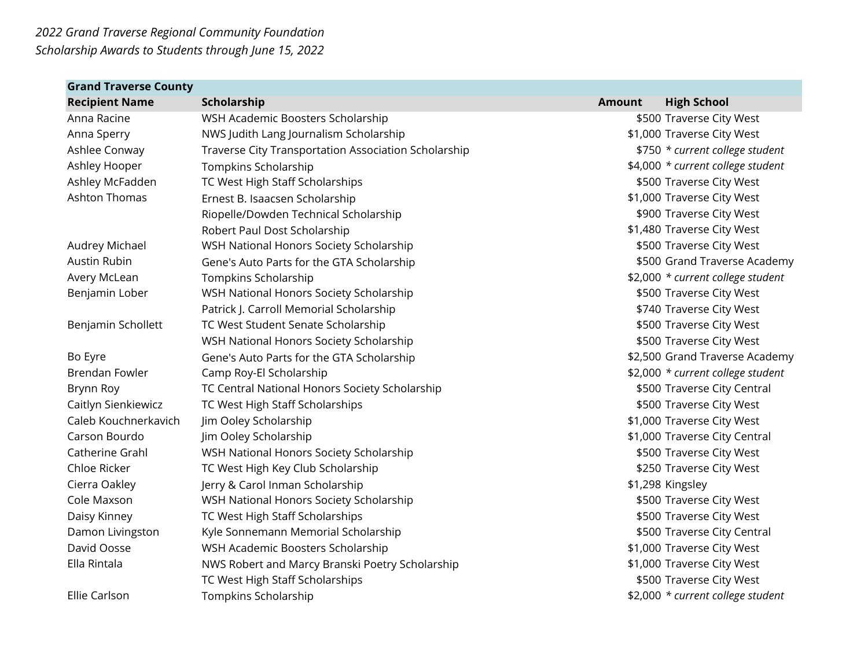| <b>Grand Traverse County</b> |                                                      |               |                                   |
|------------------------------|------------------------------------------------------|---------------|-----------------------------------|
| <b>Recipient Name</b>        | Scholarship                                          | <b>Amount</b> | <b>High School</b>                |
| Anna Racine                  | WSH Academic Boosters Scholarship                    |               | \$500 Traverse City West          |
| Anna Sperry                  | NWS Judith Lang Journalism Scholarship               |               | \$1,000 Traverse City West        |
| Ashlee Conway                | Traverse City Transportation Association Scholarship |               | \$750 * current college student   |
| Ashley Hooper                | Tompkins Scholarship                                 |               | \$4,000 * current college student |
| Ashley McFadden              | TC West High Staff Scholarships                      |               | \$500 Traverse City West          |
| <b>Ashton Thomas</b>         | Ernest B. Isaacsen Scholarship                       |               | \$1,000 Traverse City West        |
|                              | Riopelle/Dowden Technical Scholarship                |               | \$900 Traverse City West          |
|                              | Robert Paul Dost Scholarship                         |               | \$1,480 Traverse City West        |
| Audrey Michael               | WSH National Honors Society Scholarship              |               | \$500 Traverse City West          |
| Austin Rubin                 | Gene's Auto Parts for the GTA Scholarship            |               | \$500 Grand Traverse Academy      |
| Avery McLean                 | Tompkins Scholarship                                 |               | \$2,000 * current college student |
| Benjamin Lober               | WSH National Honors Society Scholarship              |               | \$500 Traverse City West          |
|                              | Patrick J. Carroll Memorial Scholarship              |               | \$740 Traverse City West          |
| Benjamin Schollett           | TC West Student Senate Scholarship                   |               | \$500 Traverse City West          |
|                              | WSH National Honors Society Scholarship              |               | \$500 Traverse City West          |
| Bo Eyre                      | Gene's Auto Parts for the GTA Scholarship            |               | \$2,500 Grand Traverse Academy    |
| <b>Brendan Fowler</b>        | Camp Roy-El Scholarship                              |               | \$2,000 * current college student |
| Brynn Roy                    | TC Central National Honors Society Scholarship       |               | \$500 Traverse City Central       |
| Caitlyn Sienkiewicz          | TC West High Staff Scholarships                      |               | \$500 Traverse City West          |
| Caleb Kouchnerkavich         | Jim Ooley Scholarship                                |               | \$1,000 Traverse City West        |
| Carson Bourdo                | Jim Ooley Scholarship                                |               | \$1,000 Traverse City Central     |
| Catherine Grahl              | WSH National Honors Society Scholarship              |               | \$500 Traverse City West          |
| Chloe Ricker                 | TC West High Key Club Scholarship                    |               | \$250 Traverse City West          |
| Cierra Oakley                | Jerry & Carol Inman Scholarship                      |               | \$1,298 Kingsley                  |
| Cole Maxson                  | WSH National Honors Society Scholarship              |               | \$500 Traverse City West          |
| Daisy Kinney                 | TC West High Staff Scholarships                      |               | \$500 Traverse City West          |
| Damon Livingston             | Kyle Sonnemann Memorial Scholarship                  |               | \$500 Traverse City Central       |
| David Oosse                  | WSH Academic Boosters Scholarship                    |               | \$1,000 Traverse City West        |
| Ella Rintala                 | NWS Robert and Marcy Branski Poetry Scholarship      |               | \$1,000 Traverse City West        |
|                              | TC West High Staff Scholarships                      |               | \$500 Traverse City West          |
| Ellie Carlson                | Tompkins Scholarship                                 |               | \$2,000 * current college student |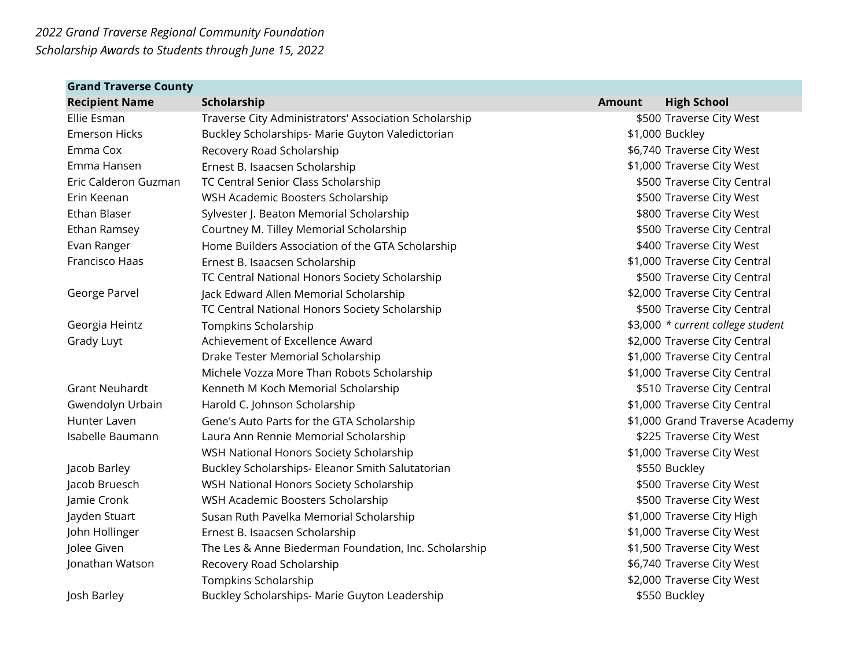| <b>Grand Traverse County</b> |                                                       |               |                                   |
|------------------------------|-------------------------------------------------------|---------------|-----------------------------------|
| <b>Recipient Name</b>        | Scholarship                                           | <b>Amount</b> | <b>High School</b>                |
| Ellie Esman                  | Traverse City Administrators' Association Scholarship |               | \$500 Traverse City West          |
| <b>Emerson Hicks</b>         | Buckley Scholarships- Marie Guyton Valedictorian      |               | \$1,000 Buckley                   |
| Emma Cox                     | Recovery Road Scholarship                             |               | \$6,740 Traverse City West        |
| Emma Hansen                  | Ernest B. Isaacsen Scholarship                        |               | \$1,000 Traverse City West        |
| Eric Calderon Guzman         | TC Central Senior Class Scholarship                   |               | \$500 Traverse City Central       |
| Erin Keenan                  | WSH Academic Boosters Scholarship                     |               | \$500 Traverse City West          |
| Ethan Blaser                 | Sylvester J. Beaton Memorial Scholarship              |               | \$800 Traverse City West          |
| Ethan Ramsey                 | Courtney M. Tilley Memorial Scholarship               |               | \$500 Traverse City Central       |
| Evan Ranger                  | Home Builders Association of the GTA Scholarship      |               | \$400 Traverse City West          |
| Francisco Haas               | Ernest B. Isaacsen Scholarship                        |               | \$1,000 Traverse City Central     |
|                              | TC Central National Honors Society Scholarship        |               | \$500 Traverse City Central       |
| George Parvel                | Jack Edward Allen Memorial Scholarship                |               | \$2,000 Traverse City Central     |
|                              | TC Central National Honors Society Scholarship        |               | \$500 Traverse City Central       |
| Georgia Heintz               | Tompkins Scholarship                                  |               | \$3,000 * current college student |
| Grady Luyt                   | Achievement of Excellence Award                       |               | \$2,000 Traverse City Central     |
|                              | Drake Tester Memorial Scholarship                     |               | \$1,000 Traverse City Central     |
|                              | Michele Vozza More Than Robots Scholarship            |               | \$1,000 Traverse City Central     |
| <b>Grant Neuhardt</b>        | Kenneth M Koch Memorial Scholarship                   |               | \$510 Traverse City Central       |
| Gwendolyn Urbain             | Harold C. Johnson Scholarship                         |               | \$1,000 Traverse City Central     |
| Hunter Laven                 | Gene's Auto Parts for the GTA Scholarship             |               | \$1,000 Grand Traverse Academy    |
| Isabelle Baumann             | Laura Ann Rennie Memorial Scholarship                 |               | \$225 Traverse City West          |
|                              | WSH National Honors Society Scholarship               |               | \$1,000 Traverse City West        |
| Jacob Barley                 | Buckley Scholarships- Eleanor Smith Salutatorian      |               | \$550 Buckley                     |
| Jacob Bruesch                | WSH National Honors Society Scholarship               |               | \$500 Traverse City West          |
| Jamie Cronk                  | WSH Academic Boosters Scholarship                     |               | \$500 Traverse City West          |
| Jayden Stuart                | Susan Ruth Pavelka Memorial Scholarship               |               | \$1,000 Traverse City High        |
| John Hollinger               | Ernest B. Isaacsen Scholarship                        |               | \$1,000 Traverse City West        |
| Jolee Given                  | The Les & Anne Biederman Foundation, Inc. Scholarship |               | \$1,500 Traverse City West        |
| Jonathan Watson              | Recovery Road Scholarship                             |               | \$6,740 Traverse City West        |
|                              | Tompkins Scholarship                                  |               | \$2,000 Traverse City West        |
| Josh Barley                  | Buckley Scholarships- Marie Guyton Leadership         |               | \$550 Buckley                     |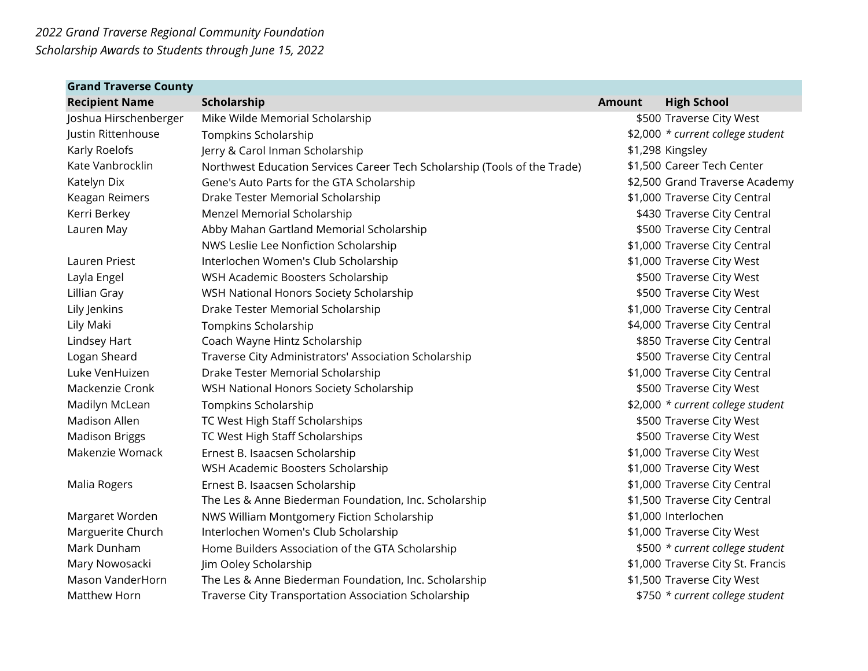| <b>Grand Traverse County</b> |                                                                           |               |                                   |
|------------------------------|---------------------------------------------------------------------------|---------------|-----------------------------------|
| <b>Recipient Name</b>        | Scholarship                                                               | <b>Amount</b> | <b>High School</b>                |
| Joshua Hirschenberger        | Mike Wilde Memorial Scholarship                                           |               | \$500 Traverse City West          |
| Justin Rittenhouse           | Tompkins Scholarship                                                      |               | \$2,000 * current college student |
| Karly Roelofs                | Jerry & Carol Inman Scholarship                                           |               | \$1,298 Kingsley                  |
| Kate Vanbrocklin             | Northwest Education Services Career Tech Scholarship (Tools of the Trade) |               | \$1,500 Career Tech Center        |
| Katelyn Dix                  | Gene's Auto Parts for the GTA Scholarship                                 |               | \$2,500 Grand Traverse Academy    |
| Keagan Reimers               | Drake Tester Memorial Scholarship                                         |               | \$1,000 Traverse City Central     |
| Kerri Berkey                 | Menzel Memorial Scholarship                                               |               | \$430 Traverse City Central       |
| Lauren May                   | Abby Mahan Gartland Memorial Scholarship                                  |               | \$500 Traverse City Central       |
|                              | NWS Leslie Lee Nonfiction Scholarship                                     |               | \$1,000 Traverse City Central     |
| <b>Lauren Priest</b>         | Interlochen Women's Club Scholarship                                      |               | \$1,000 Traverse City West        |
| Layla Engel                  | WSH Academic Boosters Scholarship                                         |               | \$500 Traverse City West          |
| Lillian Gray                 | WSH National Honors Society Scholarship                                   |               | \$500 Traverse City West          |
| Lily Jenkins                 | Drake Tester Memorial Scholarship                                         |               | \$1,000 Traverse City Central     |
| Lily Maki                    | Tompkins Scholarship                                                      |               | \$4,000 Traverse City Central     |
| Lindsey Hart                 | Coach Wayne Hintz Scholarship                                             |               | \$850 Traverse City Central       |
| Logan Sheard                 | Traverse City Administrators' Association Scholarship                     |               | \$500 Traverse City Central       |
| Luke VenHuizen               | Drake Tester Memorial Scholarship                                         |               | \$1,000 Traverse City Central     |
| Mackenzie Cronk              | WSH National Honors Society Scholarship                                   |               | \$500 Traverse City West          |
| Madilyn McLean               | Tompkins Scholarship                                                      |               | \$2,000 * current college student |
| <b>Madison Allen</b>         | TC West High Staff Scholarships                                           |               | \$500 Traverse City West          |
| <b>Madison Briggs</b>        | TC West High Staff Scholarships                                           |               | \$500 Traverse City West          |
| Makenzie Womack              | Ernest B. Isaacsen Scholarship                                            |               | \$1,000 Traverse City West        |
|                              | WSH Academic Boosters Scholarship                                         |               | \$1,000 Traverse City West        |
| Malia Rogers                 | Ernest B. Isaacsen Scholarship                                            |               | \$1,000 Traverse City Central     |
|                              | The Les & Anne Biederman Foundation, Inc. Scholarship                     |               | \$1,500 Traverse City Central     |
| Margaret Worden              | NWS William Montgomery Fiction Scholarship                                |               | \$1,000 Interlochen               |
| Marguerite Church            | Interlochen Women's Club Scholarship                                      |               | \$1,000 Traverse City West        |
| Mark Dunham                  | Home Builders Association of the GTA Scholarship                          |               | \$500 * current college student   |
| Mary Nowosacki               | Jim Ooley Scholarship                                                     |               | \$1,000 Traverse City St. Francis |
| Mason VanderHorn             | The Les & Anne Biederman Foundation, Inc. Scholarship                     |               | \$1,500 Traverse City West        |
| Matthew Horn                 | Traverse City Transportation Association Scholarship                      |               | \$750 * current college student   |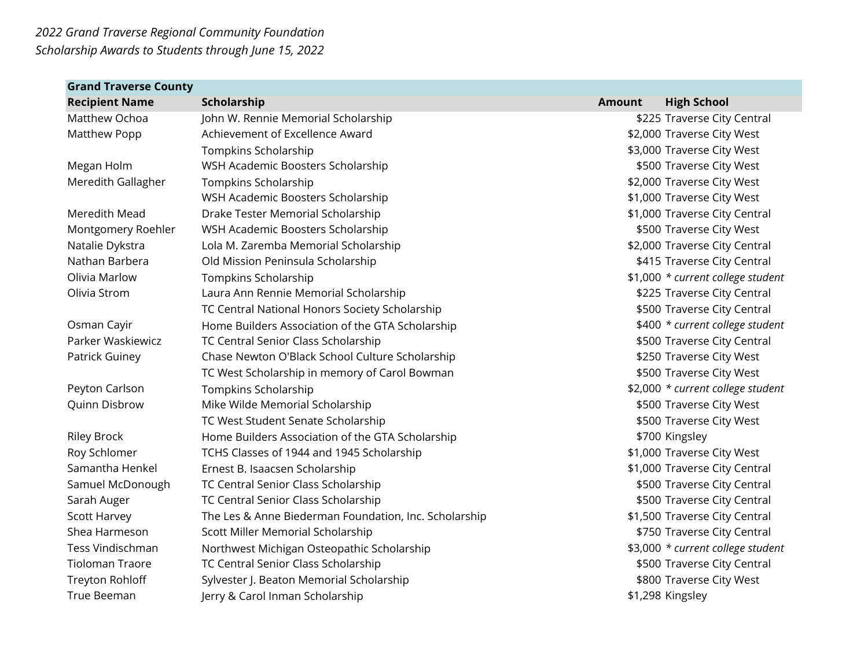| <b>Grand Traverse County</b> |                                                       |               |                                   |
|------------------------------|-------------------------------------------------------|---------------|-----------------------------------|
| <b>Recipient Name</b>        | Scholarship                                           | <b>Amount</b> | <b>High School</b>                |
| Matthew Ochoa                | John W. Rennie Memorial Scholarship                   |               | \$225 Traverse City Central       |
| Matthew Popp                 | Achievement of Excellence Award                       |               | \$2,000 Traverse City West        |
|                              | Tompkins Scholarship                                  |               | \$3,000 Traverse City West        |
| Megan Holm                   | WSH Academic Boosters Scholarship                     |               | \$500 Traverse City West          |
| Meredith Gallagher           | Tompkins Scholarship                                  |               | \$2,000 Traverse City West        |
|                              | WSH Academic Boosters Scholarship                     |               | \$1,000 Traverse City West        |
| Meredith Mead                | Drake Tester Memorial Scholarship                     |               | \$1,000 Traverse City Central     |
| Montgomery Roehler           | WSH Academic Boosters Scholarship                     |               | \$500 Traverse City West          |
| Natalie Dykstra              | Lola M. Zaremba Memorial Scholarship                  |               | \$2,000 Traverse City Central     |
| Nathan Barbera               | Old Mission Peninsula Scholarship                     |               | \$415 Traverse City Central       |
| Olivia Marlow                | Tompkins Scholarship                                  |               | \$1,000 * current college student |
| Olivia Strom                 | Laura Ann Rennie Memorial Scholarship                 |               | \$225 Traverse City Central       |
|                              | TC Central National Honors Society Scholarship        |               | \$500 Traverse City Central       |
| Osman Cayir                  | Home Builders Association of the GTA Scholarship      |               | \$400 * current college student   |
| Parker Waskiewicz            | TC Central Senior Class Scholarship                   |               | \$500 Traverse City Central       |
| Patrick Guiney               | Chase Newton O'Black School Culture Scholarship       |               | \$250 Traverse City West          |
|                              | TC West Scholarship in memory of Carol Bowman         |               | \$500 Traverse City West          |
| Peyton Carlson               | Tompkins Scholarship                                  |               | \$2,000 * current college student |
| Quinn Disbrow                | Mike Wilde Memorial Scholarship                       |               | \$500 Traverse City West          |
|                              | TC West Student Senate Scholarship                    |               | \$500 Traverse City West          |
| <b>Riley Brock</b>           | Home Builders Association of the GTA Scholarship      |               | \$700 Kingsley                    |
| Roy Schlomer                 | TCHS Classes of 1944 and 1945 Scholarship             |               | \$1,000 Traverse City West        |
| Samantha Henkel              | Ernest B. Isaacsen Scholarship                        |               | \$1,000 Traverse City Central     |
| Samuel McDonough             | TC Central Senior Class Scholarship                   |               | \$500 Traverse City Central       |
| Sarah Auger                  | TC Central Senior Class Scholarship                   |               | \$500 Traverse City Central       |
| <b>Scott Harvey</b>          | The Les & Anne Biederman Foundation, Inc. Scholarship |               | \$1,500 Traverse City Central     |
| Shea Harmeson                | Scott Miller Memorial Scholarship                     |               | \$750 Traverse City Central       |
| Tess Vindischman             | Northwest Michigan Osteopathic Scholarship            |               | \$3,000 * current college student |
| <b>Tioloman Traore</b>       | TC Central Senior Class Scholarship                   |               | \$500 Traverse City Central       |
| Treyton Rohloff              | Sylvester J. Beaton Memorial Scholarship              |               | \$800 Traverse City West          |
| True Beeman                  | Jerry & Carol Inman Scholarship                       |               | \$1,298 Kingsley                  |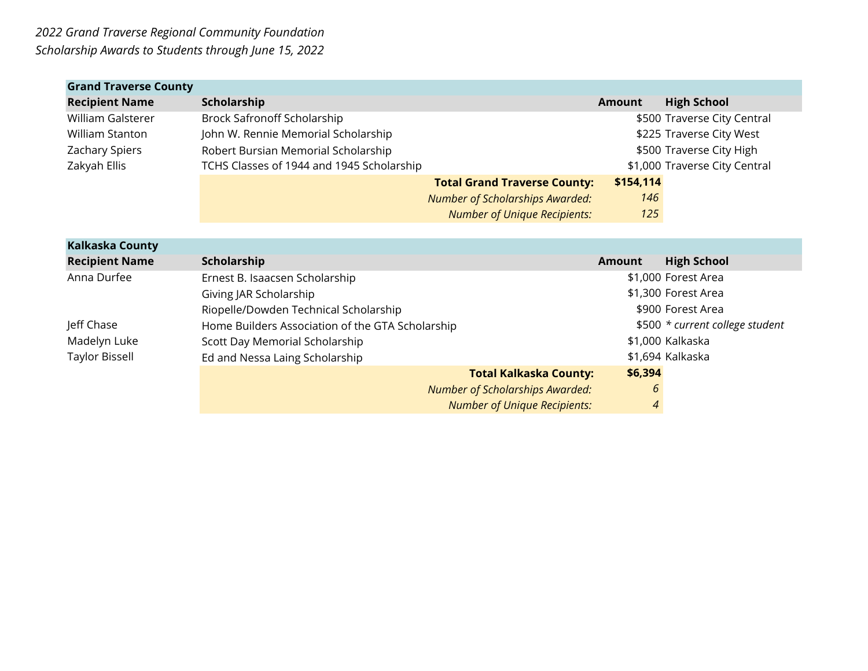| <b>Grand Traverse County</b> |                                           |                                        |               |                               |
|------------------------------|-------------------------------------------|----------------------------------------|---------------|-------------------------------|
| <b>Recipient Name</b>        | Scholarship                               |                                        | <b>Amount</b> | <b>High School</b>            |
| William Galsterer            | Brock Safronoff Scholarship               |                                        |               | \$500 Traverse City Central   |
| William Stanton              | John W. Rennie Memorial Scholarship       |                                        |               | \$225 Traverse City West      |
| <b>Zachary Spiers</b>        | Robert Bursian Memorial Scholarship       |                                        |               | \$500 Traverse City High      |
| Zakyah Ellis                 | TCHS Classes of 1944 and 1945 Scholarship |                                        |               | \$1,000 Traverse City Central |
|                              |                                           | <b>Total Grand Traverse County:</b>    | \$154,114     |                               |
|                              |                                           | <b>Number of Scholarships Awarded:</b> | 146           |                               |
|                              |                                           | <b>Number of Unique Recipients:</b>    | 125           |                               |

| Kalkaska County       |                                                  |                                          |                                 |
|-----------------------|--------------------------------------------------|------------------------------------------|---------------------------------|
| <b>Recipient Name</b> | Scholarship                                      | <b>Amount</b>                            | <b>High School</b>              |
| Anna Durfee           | Ernest B. Isaacsen Scholarship                   |                                          | \$1,000 Forest Area             |
|                       | Giving JAR Scholarship                           |                                          | \$1,300 Forest Area             |
|                       | Riopelle/Dowden Technical Scholarship            |                                          | \$900 Forest Area               |
| Jeff Chase            | Home Builders Association of the GTA Scholarship |                                          | \$500 * current college student |
| Madelyn Luke          | Scott Day Memorial Scholarship                   |                                          | \$1,000 Kalkaska                |
| Taylor Bissell        | Ed and Nessa Laing Scholarship                   |                                          | \$1,694 Kalkaska                |
|                       |                                                  | \$6,394<br><b>Total Kalkaska County:</b> |                                 |
|                       | <b>Number of Scholarships Awarded:</b>           | 6                                        |                                 |
|                       |                                                  | 4<br><b>Number of Unique Recipients:</b> |                                 |